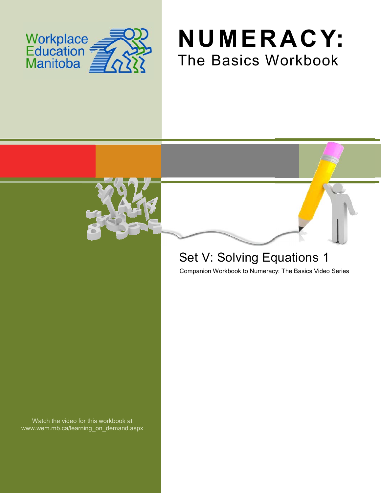





# Set V: Solving Equations 1

Companion Workbook to Numeracy: The Basics Video Series

Watch the video for this workbook at www.wem.mb.ca/learning\_on\_demand.aspx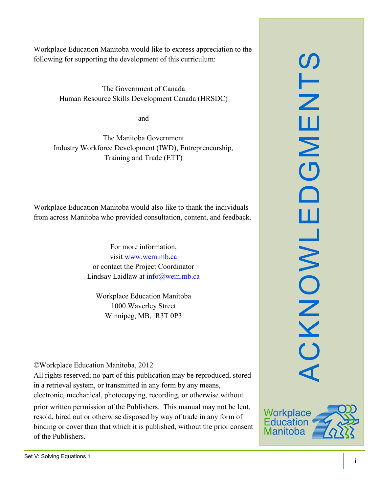The Government of Canada Human Resource Skills Development Canada (HRSDC)

and

The Manitoba Government Industry Workforce Development (IWD), Entrepreneurship, Training and Trade (ETT)

Workplace Education Manitoba would also like to thank the individuals from across Manitoba who provided consultation, content, and feedback.

> For more information, visit [www.wem.mb.ca](http://www.wem.mb.ca/) or contact the Project Coordinator Lindsay Laidlaw at [info@wem.mb.ca](mailto:info@wem.mb.ca)

Workplace Education Manitoba 1000 Waverley Street Winnipeg, MB, R3T 0P3

©Workplace Education Manitoba, 2012

All rights reserved; no part of this publication may be reproduced, stored in a retrieval system, or transmitted in any form by any means, electronic, mechanical, photocopying, recording, or otherwise without

prior written permission of the Publishers. This manual may not be lent, resold, hired out or otherwise disposed by way of trade in any form of binding or cover than that which it is published, without the prior consent of the Publishers.



S<br>TM<br>E

 $\mathsf{z}$ 

 $\overline{\mathbf{C}}$ 

 $\Box$ 

ш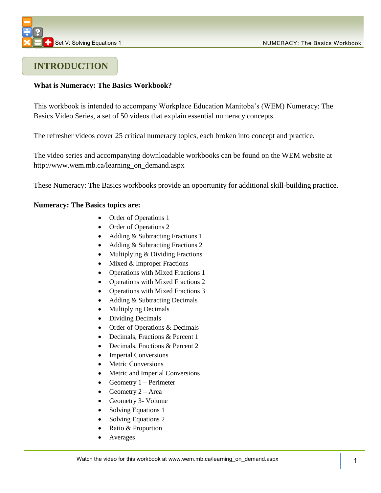### **INTRODUCTION**

#### **What is Numeracy: The Basics Workbook?**

This workbook is intended to accompany Workplace Education Manitoba's (WEM) Numeracy: The Basics Video Series, a set of 50 videos that explain essential numeracy concepts.

The refresher videos cover 25 critical numeracy topics, each broken into concept and practice.

The video series and accompanying downloadable workbooks can be found on the WEM website at [http://www.wem.mb.ca/learning\\_on\\_demand.aspx](http://www.wem.mb.ca/learning_on_demand.aspx)

These Numeracy: The Basics workbooks provide an opportunity for additional skill-building practice.

#### **Numeracy: The Basics topics are:**

- Order of Operations 1
- Order of Operations 2
- Adding & Subtracting Fractions 1
- Adding & Subtracting Fractions 2
- Multiplying & Dividing Fractions
- $\bullet$  Mixed & Improper Fractions
- Operations with Mixed Fractions 1
- Operations with Mixed Fractions 2
- Operations with Mixed Fractions 3
- Adding & Subtracting Decimals
- Multiplying Decimals
- Dividing Decimals
- Order of Operations & Decimals
- Decimals, Fractions & Percent 1
- Decimals, Fractions & Percent 2
- Imperial Conversions
- Metric Conversions
- Metric and Imperial Conversions
- Geometry  $1 -$  Perimeter
- Geometry  $2 Area$
- Geometry 3- Volume
- Solving Equations 1
- Solving Equations 2
- Ratio & Proportion
- Averages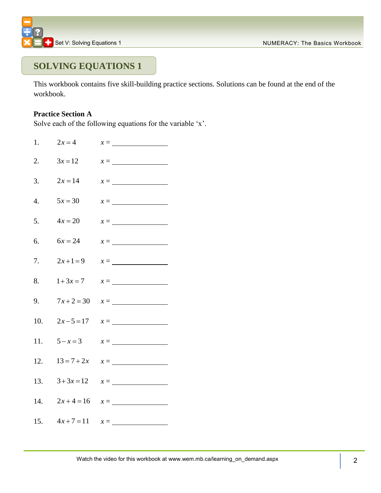

### **SOLVING EQUATIONS 1**

This workbook contains five skill-building practice sections. Solutions can be found at the end of the workbook.

### **Practice Section A**

Solve each of the following equations for the variable 'x'.

| 1.               | $2x = 4$      | $x =$                                        |
|------------------|---------------|----------------------------------------------|
| 2.               | $3x = 12$     | $x = \overline{\qquad \qquad }$              |
| 3.               | $2x = 14$     | $x = \underline{\hspace{2cm}}$               |
| $\overline{4}$ . | $5x = 30$     | $x =$                                        |
| 5.               | $4x = 20$     | $x =$                                        |
| 6.               | $6x = 24$     | $x = \underline{\hspace{2cm}}$               |
| 7.               | $2x+1=9$      | $x = \underline{\hspace{2cm}}$               |
| 8.               | $1+3x=7$      | $x = \underline{\hspace{2cm}}$               |
| 9.               |               | $7x+2=30$ $x=\underline{\hspace{1cm}}$       |
|                  |               | 10. $2x-5=17$ $x=\underline{\hspace{1cm}}$   |
| 11.              | $5 - x = 3$   | $x = \underline{\hspace{2cm}}$               |
| 12.              |               |                                              |
|                  | 13. $3+3x=12$ | $x =$                                        |
|                  |               | 14. $2x+4=16$ $x=\underline{\qquad \qquad }$ |
|                  |               | 15. $4x+7=11$ $x=\underline{\qquad}$         |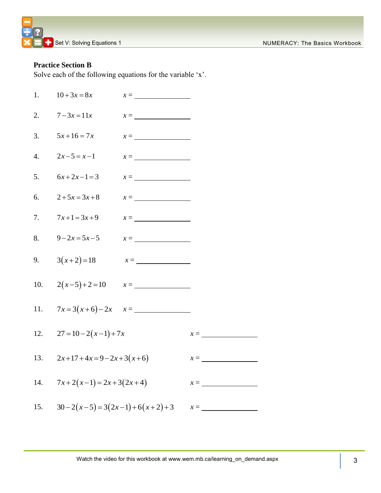#### **Practice Section B**

Solve each of the following equations for the variable 'x'.

| 1.               | $10 + 3x = 8x$                            | $x = \underline{\hspace{2cm}}$   |                                                         |
|------------------|-------------------------------------------|----------------------------------|---------------------------------------------------------|
| 2.               | $7 - 3x = 11x$                            | $x = \overline{\qquad \qquad }$  |                                                         |
| 3.               | $5x+16=7x$                                | $x = \underline{\hspace{2.5cm}}$ |                                                         |
| $\overline{4}$ . | $2x-5=x-1$                                | $x =$                            |                                                         |
| 5.               | $6x+2x-1=3$                               | $x = \underline{\hspace{2cm}}$   |                                                         |
| 6.               | $2+5x=3x+8$                               | $x =$                            |                                                         |
| 7.               | $7x+1=3x+9$                               | $x =$                            |                                                         |
| 8.               | $9 - 2x = 5x - 5$                         | $x = \underline{\hspace{2cm}}$   |                                                         |
| 9.               | $3(x+2)=18$ $x=\underline{\hspace{1cm}}$  |                                  |                                                         |
|                  | 10. $2(x-5)+2=10$ $x=\underline{\qquad}$  |                                  |                                                         |
|                  | 11. $7x=3(x+6)-2x$ $x=\underline{\qquad}$ |                                  |                                                         |
|                  | 12. $27 = 10 - 2(x-1) + 7x$               |                                  | $x =$                                                   |
| 13.              | $2x+17+4x=9-2x+3(x+6)$                    |                                  | $x = \underline{\hspace{2cm}}$                          |
|                  | 14. $7x+2(x-1)=2x+3(2x+4)$                |                                  | $x =$                                                   |
|                  |                                           |                                  | 15. $30-2(x-5)=3(2x-1)+6(x+2)+3$ $x=\underline{\qquad}$ |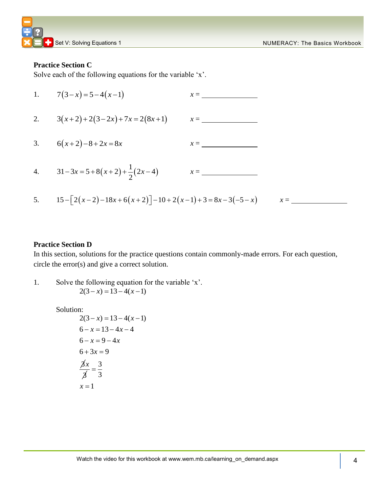#### **Practice Section C**

Solve each of the following equations for the variable 'x'.

1. 
$$
7(3-x)=5-4(x-1)
$$
  $x =$  \_\_\_\_\_\_  
\n2.  $3(x+2)+2(3-2x)+7x = 2(8x+1)$   $x =$  \_\_\_\_\_\_  
\n3.  $6(x+2)-8+2x = 8x$   $x =$  \_\_\_\_\_\_  
\n4.  $31-3x = 5+8(x+2)+\frac{1}{2}(2x-4)$   $x =$  \_\_\_\_\_\_  
\n5.  $15-[2(x-2)-18x+6(x+2)]-10+2(x-1)+3=8x-3(-5-x)$   $x =$  \_\_\_\_\_\_  
\n6.  $15-2(x-2)-18x+6(x+2)$   $x =$  \_\_\_\_\_\_  
\n7.  $x =$  \_\_\_\_\_\_  
\n8.  $15-2(x-2)-18x+6(x+2)$   $x =$  \_\_\_\_\_\_  
\n9.  $x =$  \_\_\_\_\_\_  
\n10.  $x =$  \_\_\_\_\_\_  
\n11.  $x =$  \_\_\_\_\_\_  
\n12.  $3(x+2)+2(3-2x)+7x = 2(8x+1)$   $x =$  \_\_\_\_\_\_  
\n13.  $x =$  \_\_\_\_\_\_  
\n14.  $31-3x = 5+8(x+2)+\frac{1}{2}(2x-4)$   $x =$  \_\_\_\_\_\_  
\n15.  $x =$  \_\_\_\_\_\_  
\n16.  $x =$  \_\_\_\_\_\_  
\n17.  $x =$  \_\_\_\_\_\_  
\n18.  $x =$  \_\_\_\_\_\_  
\n19.  $x =$  \_\_\_\_\_\_  
\n10.  $x =$  \_\_\_\_\_\_  
\n11.  $x =$  \_\_\_\_\_\_  
\n12.  $x =$  \_\_\_\_\_\_  
\n13.  $x =$  \_\_\_\_\_\_  
\n14.  $x =$  \_\_\_\_\_\_  
\n15.  $x =$  \_\_\_\_\_\_  
\n16.  $x =$  \_\_\_\_\_\_  
\n17.  $x =$  \_\_\_\_\_\_  
\n18.  $x =$  \_\_\_\_\_\_  
\n19.  $x =$  \_\_\_\_\_\_  
\n10.  $x =$  \_\_\_\_\_\_  
\n11.  $x =$  \_\_\_\_\_\_  
\n12.  $x =$  \_\_\_\_\_\_  
\n13.  $x =$  \_\_\_\_\_\_  
\n14.  $x =$  \_\_\_\_\_\_  
\n15.  $x =$  \_\_\_\_\_\_  
\n16.  $x =$ 

#### **Practice Section D**

In this section, solutions for the practice questions contain commonly-made errors. For each question, circle the error(s) and give a correct solution.

1. Solve the following equation for the variable 'x'.  $2(3 - x) = 13 - 4(x - 1)$ 

#### Solution:

2(3-x) = 13-4(x-1)  
\n6-x = 13-4x-4  
\n6-x = 9-4x  
\n6+3x = 9  
\n
$$
\frac{\cancel{3}x}{\cancel{3}} = \frac{3}{3}
$$
\n
$$
x = 1
$$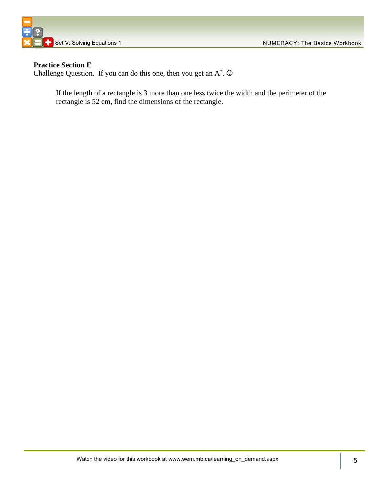

#### **Practice Section E**

Challenge Question. If you can do this one, then you get an  $A^+$ .  $\odot$ 

If the length of a rectangle is 3 more than one less twice the width and the perimeter of the rectangle is 52 cm, find the dimensions of the rectangle.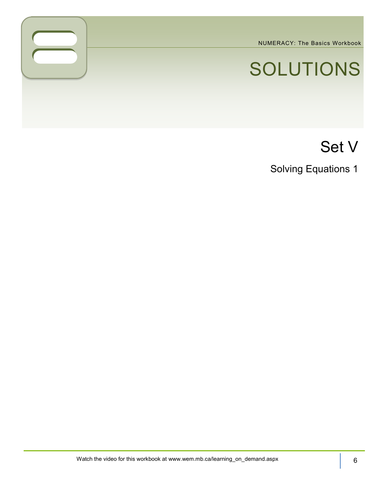NUMERACY: The Basics Workbook

# SOLUTIONS

# Set V

Solving Equations 1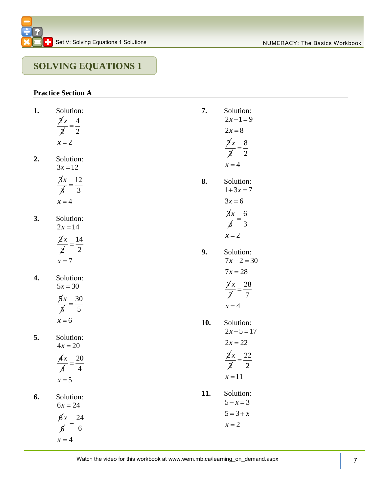## **SOLVING EQUATIONS 1**

#### **Practice Section A**

| 1. | Solution:                                            | 7.  | Solution:                                       |
|----|------------------------------------------------------|-----|-------------------------------------------------|
|    | $\frac{\cancel{2}x}{\cancel{2}} = \frac{4}{2}$       |     | $2x+1=9$<br>$2x=8$                              |
|    | $x = 2$                                              |     |                                                 |
|    |                                                      |     | $\frac{\cancel{2}x}{\cancel{2}} = \frac{8}{2}$  |
| 2. | Solution:<br>$3x = 12$                               |     | $x = 4$                                         |
|    | $\frac{\cancel{3}x}{\cancel{3}} = \frac{12}{3}$      | 8.  | Solution:                                       |
|    |                                                      |     | $1+3x=7$                                        |
|    | $x = 4$                                              |     | $3x = 6$                                        |
| 3. | Solution:                                            |     | $\frac{\cancel{x}}{\cancel{x}} = \frac{6}{3}$   |
|    | $2x = 14$                                            |     |                                                 |
|    | $\frac{\cancel{2}x}{\cancel{2}} = \frac{14}{2}$      |     | $x = 2$                                         |
|    |                                                      | 9.  | Solution:                                       |
|    | $x=7$                                                |     | $7x+2=30$                                       |
| 4. | Solution:                                            |     | $7x = 28$                                       |
|    | $5x = 30$                                            |     | $\frac{\cancel{1}}{\cancel{1}}x = \frac{28}{7}$ |
|    |                                                      |     |                                                 |
|    | $\frac{\cancel{x}}{\cancel{x}} = \frac{30}{5}$       |     | $x = 4$                                         |
|    | $x = 6$                                              | 10. | Solution:                                       |
| 5. | Solution:                                            |     | $2x-5=17$                                       |
|    | $4x = 20$                                            |     | $2x = 22$                                       |
|    |                                                      |     | $\frac{\cancel{2}x}{\cancel{2}} = \frac{22}{2}$ |
|    | $\frac{A x}{A} = \frac{20}{4}$                       |     |                                                 |
|    | $x = 5$                                              |     | $x=11$                                          |
| 6. | Solution:                                            | 11. | Solution:                                       |
|    | $6x = 24$                                            |     | $5 - x = 3$                                     |
|    |                                                      |     | $5 = 3 + x$                                     |
|    | $\frac{\cancel{6}x}{\cancel{6}} =$<br>$\frac{24}{6}$ |     | $x = 2$                                         |
|    | $x = 4$                                              |     |                                                 |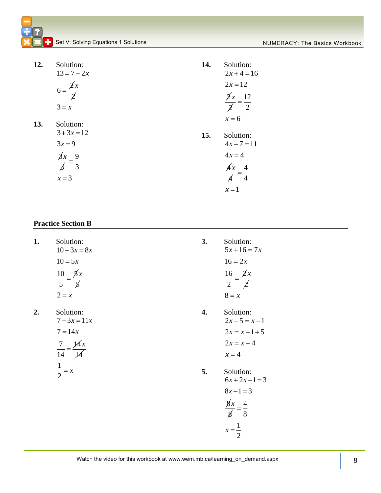| 12. | Solution:                                      | 14. | Solution:                                       |
|-----|------------------------------------------------|-----|-------------------------------------------------|
|     | $13 = 7 + 2x$                                  |     | $2x+4=16$                                       |
|     | $6 = \frac{\cancel{2}x}{\cancel{2}}$           |     | $2x = 12$                                       |
|     |                                                |     |                                                 |
|     | $3 = x$                                        |     | $\frac{\cancel{2}x}{\cancel{2}} = \frac{12}{2}$ |
| 13. | Solution:                                      |     | $x = 6$                                         |
|     | $3+3x=12$                                      | 15. | Solution:                                       |
|     | $3x = 9$                                       |     | $4x + 7 = 11$                                   |
|     |                                                |     | $4x = 4$                                        |
|     | $\frac{\cancel{3}x}{\cancel{3}} = \frac{9}{3}$ |     | $\sqrt{4}$<br>$\cancel{A}x$                     |
|     | $x = 3$                                        |     |                                                 |
|     |                                                |     | $x=1$                                           |

#### **Practice Section B**

| 1. | Solution:<br>$10 + 3x = 8x$                       | 3. | Solution:<br>$5x+16=7x$                         |
|----|---------------------------------------------------|----|-------------------------------------------------|
|    | $10 = 5x$                                         |    | $16 = 2x$                                       |
|    | $\frac{10}{5} = \frac{\cancel{5}x}{\cancel{5}}$   |    | $\frac{16}{2} = \frac{\cancel{2}x}{\cancel{2}}$ |
|    | $2 = x$                                           |    | $8 = x$                                         |
| 2. | Solution:<br>$7 - 3x = 11x$                       | 4. | Solution:<br>$2x-5=x-1$                         |
|    | $7 = 14x$                                         |    | $2x = x - 1 + 5$                                |
|    |                                                   |    | $2x = x + 4$                                    |
|    | $\frac{7}{14} = \frac{\cancel{14}x}{\cancel{14}}$ |    | $x = 4$                                         |
|    | $\frac{1}{2} = x$                                 | 5. | Solution:<br>$6x+2x-1=3$                        |
|    |                                                   |    | $8x-1=3$                                        |
|    |                                                   |    | $\frac{g'_x}{g} = \frac{4}{8}$                  |
|    |                                                   |    | $x=\frac{1}{2}$                                 |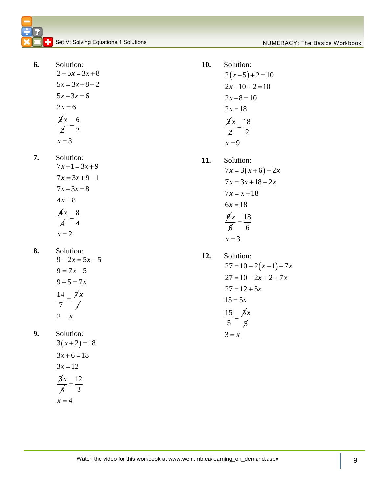**6.** Solution:  $2 + 5x = 3x + 8$  $5x = 3x + 8 - 2$  $5x - 3x = 6$ 

$$
2x = 6
$$
  

$$
\frac{\cancel{2}x}{\cancel{2}} = \frac{6}{2}
$$
  

$$
x = 3
$$

**7.** Solution:

$$
7x+1=3x+9
$$
  
\n
$$
7x = 3x+9-1
$$
  
\n
$$
7x-3x = 8
$$
  
\n
$$
4x = 8
$$
  
\n
$$
\frac{4x}{4} = \frac{8}{4}
$$
  
\n
$$
x = 2
$$

**8.** Solution:  $9 - 2x = 5x - 5$  $9 = 7x - 5$  $9 + 5 = 7x$ 14 7 *x*

$$
7
$$
  
2 = x

 $=$  $\overline{\lambda}$ 

**9.** Solution:

$$
3(x+2) = 18
$$
  
\n
$$
3x+6 = 18
$$
  
\n
$$
3x = 12
$$
  
\n
$$
\frac{\cancel{3}x}{\cancel{3}} = \frac{12}{3}
$$
  
\n
$$
x = 4
$$

**10.** Solution:  $2(x-5)+2=10$  $2x-10+2=10$  $2x-8=10$  $2x = 18$ 2 2 *x* 18 2  $=$ 

**11.** Solution:

 $x = 9$ 

$$
7x = 3(x+6) - 2x
$$
  
\n
$$
7x = 3x + 18 - 2x
$$
  
\n
$$
7x = x + 18
$$
  
\n
$$
6x = 18
$$
  
\n
$$
\frac{6x}{6} = \frac{18}{6}
$$
  
\n
$$
x = 3
$$

**12.** Solution:  $27 = 10 - 2(x - 1) + 7x$  $27 = 10 - 2x + 2 + 7x$  $27 = 12 + 5x$  $15 = 5x$  $15 \quad \cancel{5}$ 5  $=$ 5 *x*  $3 = x$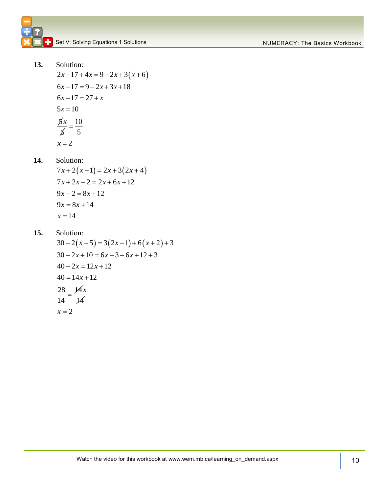**13.** Solution: Solution:<br> $2x+17+4x=9-2x+3(x+6)$  $6x+17 = 9-2x+3x+18$  $6x+17 = 27 + x$ <br> $6x+17 = 27 + x$  $5x = 10$ 

$$
3x = 10
$$
  

$$
\frac{5x}{5} = \frac{10}{5}
$$
  

$$
x = 2
$$

**14.** Solution:

Solution:<br> $7x+2(x-1) = 2x+3(2x+4)$  $7x + 2x - 2 = 2x + 6x + 12$  $9x - 2 = 8x + 12$  $9x = 8x + 14$  $x = 14$ 

**15.** Solution:

Solution:<br> $30 - 2(x-5) = 3(2x-1) + 6(x+2) + 3$  $30-2(x-5) = 3(2x-1)+6(x+2)+$ <br> $30-2x+10 = 6x-3+6x+12+3$  $30 - 2x + 10 = 6x - 3$ <br> $40 - 2x = 12x + 12$  $40 - 2x = 12x +$ <br> $40 = 14x + 12$  $40 = 14x$ <br> $\frac{28}{5} = \frac{14}{1}$ 14  $=$ 14 *x*  $x = 2$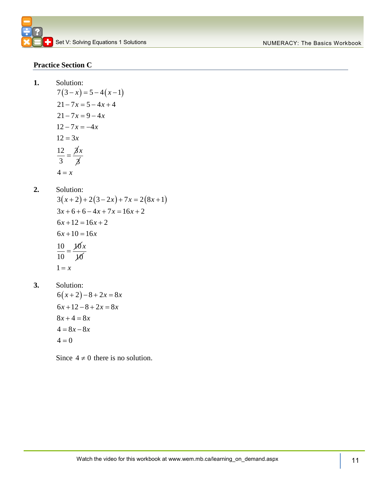#### **Practice Section C**

 $1.$ 

Solution:  
\n7(3-x) = 5-4(x-1)  
\n21-7x = 5-4x+4  
\n21-7x = 9-4x  
\n12-7x = -4x  
\n12 = 3x  
\n
$$
\frac{12}{3} = \frac{3}{3}x
$$
\n4 = x

**2.** Solution:

Solution:<br> $3(x+2)+2(3-2x)+7x=2(8x+1)$  $3(x+2)+2(3-2x)+7x=2(8x)$ <br> $3x+6+6-4x+7x=16x+2$  $3x + 6 + 6 - 4x + 7x$ <br> $6x + 12 = 16x + 2$  $6x+12=16x$ <br> $6x+10=16x$  $\frac{10}{10} = \frac{10}{10}$ 10  $=$ 10 *x*  $1 = x$ 

**3.** Solution:

$$
6(x+2)-8+2x = 8x
$$
  
\n
$$
6x+12-8+2x = 8x
$$
  
\n
$$
8x+4=8x
$$
  
\n
$$
4 = 8x-8x
$$
  
\n
$$
4 = 0
$$

Since  $4 \neq 0$  there is no solution.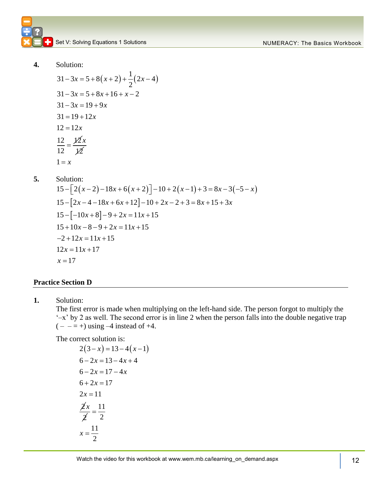

**4.** Solution:

 $(x+2)+\frac{1}{2}(2x-4)$  $31-3x = 5+8(x+2)+\frac{1}{2}(2x-4)$  $31 - 3x = 5 + 8x + 16 + x - 2$  $31 - 3x = 3 + 8x + 3$ <br> $31 - 3x = 19 + 9x$  $31 - 3x = 19 +$ <br> $31 = 19 + 12x$  $31 = 19 +$ <br> $12 = 12x$  $\frac{12 - 12x}{12 - 12}$ 12  $=$ 12 *x*  $1 = x$ 

**5.** Solution:

Solution:<br>15  $-[2(x-2)-18x+6(x+2)]-10+2(x-1)+3=8x-3(-5-x)$  $\left| 2x - 4 - 18x + 6x + 12 \right|$  $\left[-10x+8\right]$ Solution:<br>  $15 - [2(x-2)-18x+6(x+2)] - 10 + 2(x-1) + 3 = 8x -$ <br>  $15 - [2x-4-18x+6x+12] - 10 + 2x - 2 + 3 = 8x + 15 + 3$  $15 - [2(x-2)-18x+6(x+2)] - 10 + 2($ <br>  $15 - [2x-4-18x+6x+12]-10+2x-2$ <br>  $15 - [-10x+8]-9+2x = 11x+15$  $15 - [2x - 4 - 18x + 6x + 12] - 10 + 2x$ <br>  $15 - [-10x + 8] - 9 + 2x = 11x + 15$ <br>  $15 + 10x - 8 - 9 + 2x = 11x + 15$  $5-[-10x+8]-9$ <br>  $5+10x-8-9+2$ <br>  $2+12x = 11x+15$  $15 + 10x - 8 - 9$ <br>-2 +  $12x = 11x$ <br> $12x = 11x + 17$  $x = 17$ :<br> *x* – 2) – 18*x* + 6(*x* + 2)] – 10 + 2(*x* – 1) + 3 = 8*x* – 3(–5 – *x* n:<br>  $(x-2)-18x+6(x+2)$  - 10 + 2(x-1) + 3 = 8x - 3<br>  $x-4-18x+6x+12$  - 10 + 2x - 2 + 3 = 8x + 15 + 3x  $x - 8 - 9$ <br> $x = 11x$  $x+10x-8-9+2x=$ <br>  $x+12x = 11x+15$ <br>  $x = 11x+17$ ution:<br>- $[2(x-2)-18x+6(x+2)]-10+2(x-1)+3=8x-3(-5-x)$ lution:<br>- $[2(x-2)-18x+6(x+2)]-10+2(x-1)+3=8x-3(-5-x-12x-4-18x+6x+12]-10+2x-2+3=8x+15+3x$  $15+10x-8-9+2x = 11x+15$ <br>-2+12x = 11x + 15<br>12x = 11x + 17

#### **Practice Section D**

**1.** Solution:

The first error is made when multiplying on the left-hand side. The person forgot to multiply the '–x' by 2 as well. The second error is in line 2 when the person falls into the double negative trap  $(- - = +)$  using  $-4$  instead of  $+4$ .

The correct solution is:

$$
2(3-x) = 13-4(x-1)
$$
  
\n
$$
6-2x = 13-4x+4
$$
  
\n
$$
6-2x = 17-4x
$$
  
\n
$$
6+2x = 17
$$
  
\n
$$
2x = 11
$$
  
\n
$$
\frac{2}{2}x = \frac{11}{2}
$$
  
\n
$$
x = \frac{11}{2}
$$